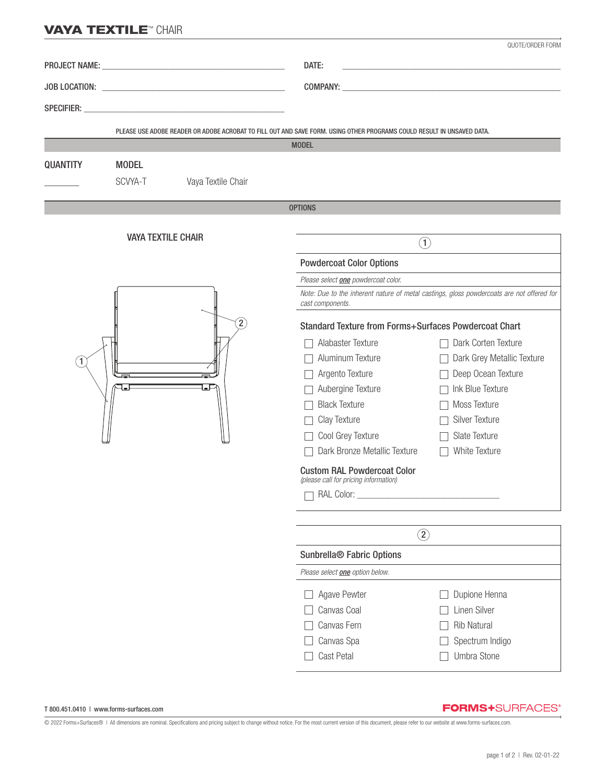## **VAYA TEXTILE™ CHAIR**

|                           |              |                    |                                                                                                                                        | QUOTE/ORDER FORM                     |
|---------------------------|--------------|--------------------|----------------------------------------------------------------------------------------------------------------------------------------|--------------------------------------|
|                           |              |                    | DATE:<br>the control of the control of the control of the control of the control of                                                    |                                      |
|                           |              |                    |                                                                                                                                        |                                      |
|                           |              |                    |                                                                                                                                        |                                      |
|                           |              |                    | PLEASE USE ADOBE READER OR ADOBE ACROBAT TO FILL OUT AND SAVE FORM. USING OTHER PROGRAMS COULD RESULT IN UNSAVED DATA.<br><b>MODEL</b> |                                      |
|                           |              |                    |                                                                                                                                        |                                      |
| <b>QUANTITY</b>           | <b>MODEL</b> |                    |                                                                                                                                        |                                      |
|                           | SCVYA-T      | Vaya Textile Chair |                                                                                                                                        |                                      |
|                           |              |                    | <b>OPTIONS</b>                                                                                                                         |                                      |
|                           |              |                    |                                                                                                                                        |                                      |
| <b>VAYA TEXTILE CHAIR</b> |              |                    | $\left( \widehat{1}\right)$                                                                                                            |                                      |
| $\left( 2\right)$<br>1    |              |                    | <b>Powdercoat Color Options</b>                                                                                                        |                                      |
|                           |              |                    | Please select one powdercoat color.                                                                                                    |                                      |
|                           |              |                    | Note: Due to the inherent nature of metal castings, gloss powdercoats are not offered for<br>cast components.                          |                                      |
|                           |              |                    | <b>Standard Texture from Forms+Surfaces Powdercoat Chart</b>                                                                           |                                      |
|                           |              |                    | Alabaster Texture                                                                                                                      | Dark Corten Texture                  |
|                           |              |                    | Aluminum Texture                                                                                                                       | Dark Grey Metallic Texture<br>$\Box$ |
| ┺                         |              |                    | Argento Texture                                                                                                                        | Deep Ocean Texture                   |
|                           |              |                    | Aubergine Texture                                                                                                                      | Ink Blue Texture                     |
|                           |              |                    | <b>Black Texture</b>                                                                                                                   | Moss Texture                         |
|                           |              |                    | Clay Texture                                                                                                                           | Silver Texture                       |
|                           |              |                    | Cool Grey Texture                                                                                                                      | Slate Texture                        |
|                           |              |                    | Dark Bronze Metallic Texture                                                                                                           | White Texture                        |
|                           |              |                    | <b>Custom RAL Powdercoat Color</b><br>(please call for pricing information)                                                            |                                      |
|                           |              |                    |                                                                                                                                        |                                      |
|                           |              |                    |                                                                                                                                        |                                      |
|                           |              |                    | $\circled{2}$                                                                                                                          |                                      |
|                           |              |                    | Sunbrella <sup>®</sup> Fabric Options                                                                                                  |                                      |
|                           |              |                    | Please select one option below.                                                                                                        |                                      |
|                           |              |                    | Agave Pewter                                                                                                                           | Dupione Henna                        |
|                           |              |                    | Canvas Coal                                                                                                                            | <b>Linen Silver</b>                  |
|                           |              |                    | Canvas Fern                                                                                                                            | <b>Rib Natural</b>                   |
|                           |              |                    | Canvas Spa                                                                                                                             | Spectrum Indigo                      |
|                           |              |                    | Cast Petal                                                                                                                             | Umbra Stone                          |

## T 800.451.0410 | www.forms-surfaces.com

## **FORMS+**SURFACES®

© 2022 Forms+Surfaces® | All dimensions are nominal. Specifications and pricing subject to change without notice. For the most current version of this document, please refer to our website at www.forms-surfaces.com.